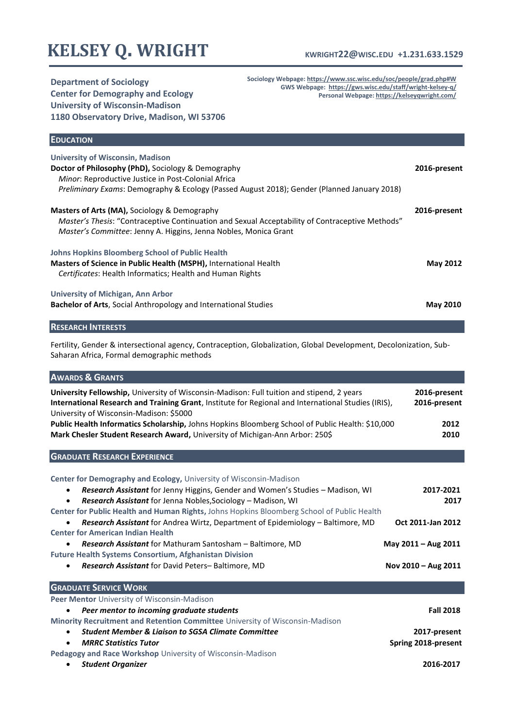# **KELSEY Q. WRIGHT**

### **KWRIGHT22@WISC.EDU +1.231.633.1529**

**Department of Sociology Center for Demography and Ecology University of Wisconsin-Madison 1180 Observatory Drive, Madison, WI 53706** **Sociology Webpage[: https://www.ssc.wisc.edu/soc/people/grad.php#W](https://www.ssc.wisc.edu/soc/people/grad.php#W) GWS Webpage:<https://gws.wisc.edu/staff/wright-kelsey-q/> Personal Webpage[: https://kelseyqwright.com/](https://kelseyqwright.com/)**

| <b>EDUCATION</b>                                                                                                                                                                                                                                    |                 |
|-----------------------------------------------------------------------------------------------------------------------------------------------------------------------------------------------------------------------------------------------------|-----------------|
| <b>University of Wisconsin, Madison</b><br>Doctor of Philosophy (PhD), Sociology & Demography<br>Minor: Reproductive Justice in Post-Colonial Africa<br>Preliminary Exams: Demography & Ecology (Passed August 2018); Gender (Planned January 2018) | 2016-present    |
| <b>Masters of Arts (MA), Sociology &amp; Demography</b><br><i>Master's Thesis:</i> "Contraceptive Continuation and Sexual Acceptability of Contraceptive Methods"<br><i>Master's Committee: Jenny A. Higgins, Jenna Nobles, Monica Grant</i>        | 2016-present    |
| Johns Hopkins Bloomberg School of Public Health<br><b>Masters of Science in Public Health (MSPH), International Health</b><br>Certificates: Health Informatics; Health and Human Rights                                                             | <b>May 2012</b> |
| University of Michigan, Ann Arbor<br><b>Bachelor of Arts, Social Anthropology and International Studies</b>                                                                                                                                         | <b>May 2010</b> |
| <b>RESEARCH INTERESTS</b>                                                                                                                                                                                                                           |                 |

Fertility, Gender & intersectional agency, Contraception, Globalization, Global Development, Decolonization, Sub-Saharan Africa, Formal demographic methods

| <b>AWARDS &amp; GRANTS</b>                                                                                                                                                                                                                         |                              |
|----------------------------------------------------------------------------------------------------------------------------------------------------------------------------------------------------------------------------------------------------|------------------------------|
| <b>University Fellowship,</b> University of Wisconsin-Madison: Full tuition and stipend, 2 years<br>International Research and Training Grant, Institute for Regional and International Studies (IRIS),<br>University of Wisconsin-Madison: \$5000 | 2016-present<br>2016-present |
| Public Health Informatics Scholarship, Johns Hopkins Bloomberg School of Public Health: \$10,000<br>Mark Chesler Student Research Award, University of Michigan-Ann Arbor: 250\$                                                                   | 2012<br>2010                 |
| <b>GRADUATE RESEARCH EXPERIENCE</b>                                                                                                                                                                                                                |                              |
| Center for Demography and Ecology, University of Wisconsin-Madison                                                                                                                                                                                 |                              |
| Research Assistant for Jenny Higgins, Gender and Women's Studies - Madison, WI                                                                                                                                                                     | 2017-2021                    |
| Research Assistant for Jenna Nobles, Sociology - Madison, WI                                                                                                                                                                                       | 2017                         |
| Center for Public Health and Human Rights, Johns Hopkins Bloomberg School of Public Health                                                                                                                                                         |                              |
| <b>Research Assistant</b> for Andrea Wirtz, Department of Epidemiology – Baltimore, MD                                                                                                                                                             | Oct 2011-Jan 2012            |
| <b>Center for American Indian Health</b>                                                                                                                                                                                                           |                              |
| <b>Research Assistant</b> for Mathuram Santosham - Baltimore, MD                                                                                                                                                                                   | May 2011 - Aug 2011          |
| <b>Future Health Systems Consortium, Afghanistan Division</b>                                                                                                                                                                                      |                              |
| Research Assistant for David Peters-Baltimore, MD                                                                                                                                                                                                  | Nov 2010 - Aug 2011          |
| <b>GRADUATE SERVICE WORK</b>                                                                                                                                                                                                                       |                              |
| Peer Mentor University of Wisconsin-Madison                                                                                                                                                                                                        |                              |
| Peer mentor to incoming graduate students                                                                                                                                                                                                          | <b>Fall 2018</b>             |
| Minority Recruitment and Retention Committee University of Wisconsin-Madison                                                                                                                                                                       |                              |
| <b>Student Member &amp; Ligison to SGSA Climate Committee</b><br>$\bullet$                                                                                                                                                                         | 2017-present                 |
| <b>MRRC Statistics Tutor</b><br>$\bullet$                                                                                                                                                                                                          | Spring 2018-present          |
| Pedagogy and Race Workshop University of Wisconsin-Madison                                                                                                                                                                                         |                              |
| <b>Student Organizer</b><br>٠                                                                                                                                                                                                                      | 2016-2017                    |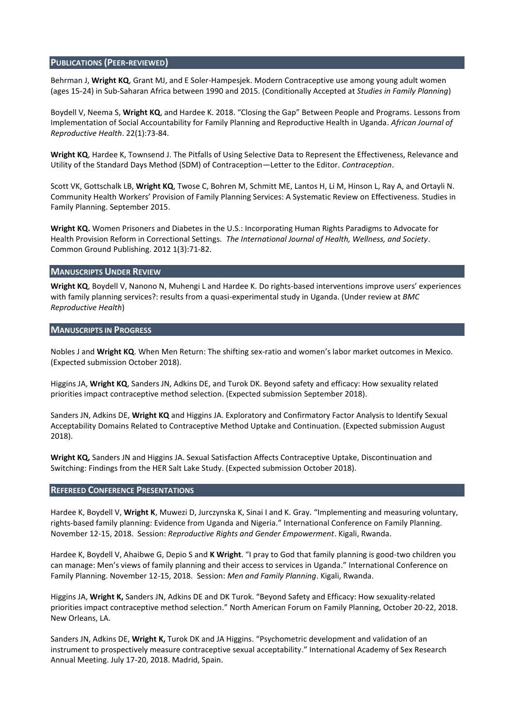### **PUBLICATIONS (PEER-REVIEWED)**

Behrman J, **Wright KQ**, Grant MJ, and E Soler-Hampesjek. Modern Contraceptive use among young adult women (ages 15-24) in Sub-Saharan Africa between 1990 and 2015. (Conditionally Accepted at *Studies in Family Planning*)

Boydell V, Neema S, **Wright KQ**, and Hardee K. 2018. "Closing the Gap" Between People and Programs. Lessons from Implementation of Social Accountability for Family Planning and Reproductive Health in Uganda. *African Journal of Reproductive Health*. 22(1):73-84.

**Wright KQ**, Hardee K, Townsend J. The Pitfalls of Using Selective Data to Represent the Effectiveness, Relevance and Utility of the Standard Days Method (SDM) of Contraception—Letter to the Editor. *Contraception*.

Scott VK, Gottschalk LB, **Wright KQ**, Twose C, Bohren M, Schmitt ME, Lantos H, Li M, Hinson L, Ray A, and Ortayli N. Community Health Workers' Provision of Family Planning Services: A Systematic Review on Effectiveness. Studies in Family Planning. September 2015.

**Wright KQ.** Women Prisoners and Diabetes in the U.S.: Incorporating Human Rights Paradigms to Advocate for Health Provision Reform in Correctional Settings. *The International Journal of Health, Wellness, and Society*. Common Ground Publishing. 2012 1(3):71-82.

#### **MANUSCRIPTS UNDER REVIEW**

**Wright KQ**, Boydell V, Nanono N, Muhengi L and Hardee K. Do rights-based interventions improve users' experiences with family planning services?: results from a quasi-experimental study in Uganda. (Under review at *BMC Reproductive Health*)

#### **MANUSCRIPTS IN PROGRESS**

Nobles J and **Wright KQ**. When Men Return: The shifting sex-ratio and women's labor market outcomes in Mexico. (Expected submission October 2018).

Higgins JA, **Wright KQ**, Sanders JN, Adkins DE, and Turok DK. Beyond safety and efficacy: How sexuality related priorities impact contraceptive method selection. (Expected submission September 2018).

Sanders JN, Adkins DE, **Wright KQ** and Higgins JA. Exploratory and Confirmatory Factor Analysis to Identify Sexual Acceptability Domains Related to Contraceptive Method Uptake and Continuation. (Expected submission August 2018).

**Wright KQ,** Sanders JN and Higgins JA. Sexual Satisfaction Affects Contraceptive Uptake, Discontinuation and Switching: Findings from the HER Salt Lake Study. (Expected submission October 2018).

### **REFEREED CONFERENCE PRESENTATIONS**

Hardee K, Boydell V, **Wright K**, Muwezi D, Jurczynska K, Sinai I and K. Gray. "Implementing and measuring voluntary, rights-based family planning: Evidence from Uganda and Nigeria." International Conference on Family Planning. November 12-15, 2018. Session: *Reproductive Rights and Gender Empowerment*. Kigali, Rwanda.

Hardee K, Boydell V, Ahaibwe G, Depio S and **K Wright**. "I pray to God that family planning is good-two children you can manage: Men's views of family planning and their access to services in Uganda." International Conference on Family Planning. November 12-15, 2018. Session: *Men and Family Planning*. Kigali, Rwanda.

Higgins JA, **Wright K,** Sanders JN, Adkins DE and DK Turok. "Beyond Safety and Efficacy: How sexuality-related priorities impact contraceptive method selection." North American Forum on Family Planning, October 20-22, 2018. New Orleans, LA.

Sanders JN, Adkins DE, **Wright K,** Turok DK and JA Higgins. "Psychometric development and validation of an instrument to prospectively measure contraceptive sexual acceptability." International Academy of Sex Research Annual Meeting. July 17-20, 2018. Madrid, Spain.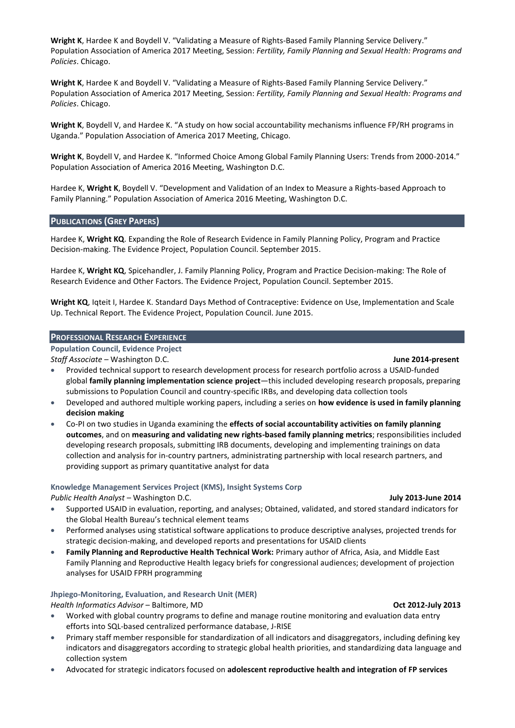**Wright K**, Hardee K and Boydell V. "Validating a Measure of Rights-Based Family Planning Service Delivery." Population Association of America 2017 Meeting, Session: *Fertility, Family Planning and Sexual Health: Programs and Policies*. Chicago.

**Wright K**, Hardee K and Boydell V. "Validating a Measure of Rights-Based Family Planning Service Delivery." Population Association of America 2017 Meeting, Session: *Fertility, Family Planning and Sexual Health: Programs and Policies*. Chicago.

**Wright K**, Boydell V, and Hardee K. "A study on how social accountability mechanisms influence FP/RH programs in Uganda." Population Association of America 2017 Meeting, Chicago.

**Wright K**, Boydell V, and Hardee K. "Informed Choice Among Global Family Planning Users: Trends from 2000-2014." Population Association of America 2016 Meeting, Washington D.C.

Hardee K, **Wright K**, Boydell V. "Development and Validation of an Index to Measure a Rights-based Approach to Family Planning." Population Association of America 2016 Meeting, Washington D.C.

#### **PUBLICATIONS (GREY PAPERS)**

Hardee K, **Wright KQ**. Expanding the Role of Research Evidence in Family Planning Policy, Program and Practice Decision-making. The Evidence Project, Population Council. September 2015.

Hardee K, **Wright KQ**, Spicehandler, J. Family Planning Policy, Program and Practice Decision-making: The Role of Research Evidence and Other Factors. The Evidence Project, Population Council. September 2015.

**Wright KQ**, Iqteit I, Hardee K. Standard Days Method of Contraceptive: Evidence on Use, Implementation and Scale Up. Technical Report. The Evidence Project, Population Council. June 2015.

#### **PROFESSIONAL RESEARCH EXPERIENCE**

#### **Population Council, Evidence Project**

*Staff Associate* – Washington D.C. **June 2014-present**

- Provided technical support to research development process for research portfolio across a USAID-funded global **family planning implementation science project**—this included developing research proposals, preparing submissions to Population Council and country-specific IRBs, and developing data collection tools
- Developed and authored multiple working papers, including a series on **how evidence is used in family planning decision making**
- Co-PI on two studies in Uganda examining the **effects of social accountability activities on family planning outcomes**, and on **measuring and validating new rights-based family planning metrics**; responsibilities included developing research proposals, submitting IRB documents, developing and implementing trainings on data collection and analysis for in-country partners, administrating partnership with local research partners, and providing support as primary quantitative analyst for data

#### **Knowledge Management Services Project (KMS), Insight Systems Corp**

*Public Health Analyst* – Washington D.C. **July 2013-June 2014**

- Supported USAID in evaluation, reporting, and analyses; Obtained, validated, and stored standard indicators for the Global Health Bureau's technical element teams
- Performed analyses using statistical software applications to produce descriptive analyses, projected trends for strategic decision-making, and developed reports and presentations for USAID clients
- **Family Planning and Reproductive Health Technical Work:** Primary author of Africa, Asia, and Middle East Family Planning and Reproductive Health legacy briefs for congressional audiences; development of projection analyses for USAID FPRH programming

## **Jhpiego-Monitoring, Evaluation, and Research Unit (MER)**

*Health Informatics Advisor* – Baltimore, MD **Oct 2012-July 2013**

- Worked with global country programs to define and manage routine monitoring and evaluation data entry efforts into SQL-based centralized performance database, J-RISE
- Primary staff member responsible for standardization of all indicators and disaggregators, including defining key indicators and disaggregators according to strategic global health priorities, and standardizing data language and collection system
- Advocated for strategic indicators focused on **adolescent reproductive health and integration of FP services**